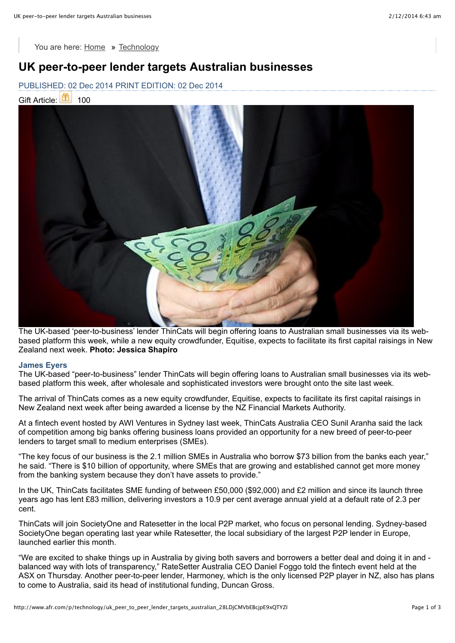You are here: [Home](http://www.afr.com/) **»** [Technology](http://www.afr.com/technology)

## **UK peer-to-peer lender targets Australian businesses**

PUBLISHED: 02 Dec 2014 PRINT EDITION: 02 Dec 2014

Gift Article: **100** 100



The UK-based 'peer-to-business' lender ThinCats will begin offering loans to Australian small businesses via its webbased platform this week, while a new equity crowdfunder, Equitise, expects to facilitate its first capital raisings in New Zealand next week. **Photo: Jessica Shapiro**

#### **James Eyers**

The UK-based "peer-to-business" lender ThinCats will begin offering loans to Australian small businesses via its webbased platform this week, after wholesale and sophisticated investors were brought onto the site last week.

The arrival of ThinCats comes as a new equity crowdfunder, Equitise, expects to facilitate its first capital raisings in New Zealand next week after being awarded a license by the NZ Financial Markets Authority.

At a fintech event hosted by AWI Ventures in Sydney last week, ThinCats Australia CEO Sunil Aranha said the lack of competition among big banks offering business loans provided an opportunity for a new breed of peer-to-peer lenders to target small to medium enterprises (SMEs).

"The key focus of our business is the 2.1 million SMEs in Australia who borrow \$73 billion from the banks each year," he said. "There is \$10 billion of opportunity, where SMEs that are growing and established cannot get more money from the banking system because they don't have assets to provide."

In the UK, ThinCats facilitates SME funding of between £50,000 (\$92,000) and £2 million and since its launch three years ago has lent £83 million, delivering investors a 10.9 per cent average annual yield at a default rate of 2.3 per cent.

ThinCats will join SocietyOne and Ratesetter in the local P2P market, who focus on personal lending. Sydney-based SocietyOne began operating last year while Ratesetter, the local subsidiary of the largest P2P lender in Europe, launched earlier this month.

"We are excited to shake things up in Australia by giving both savers and borrowers a better deal and doing it in and balanced way with lots of transparency," RateSetter Australia CEO Daniel Foggo told the fintech event held at the ASX on Thursday. Another peer-to-peer lender, Harmoney, which is the only licensed P2P player in NZ, also has plans to come to Australia, said its head of institutional funding, Duncan Gross.